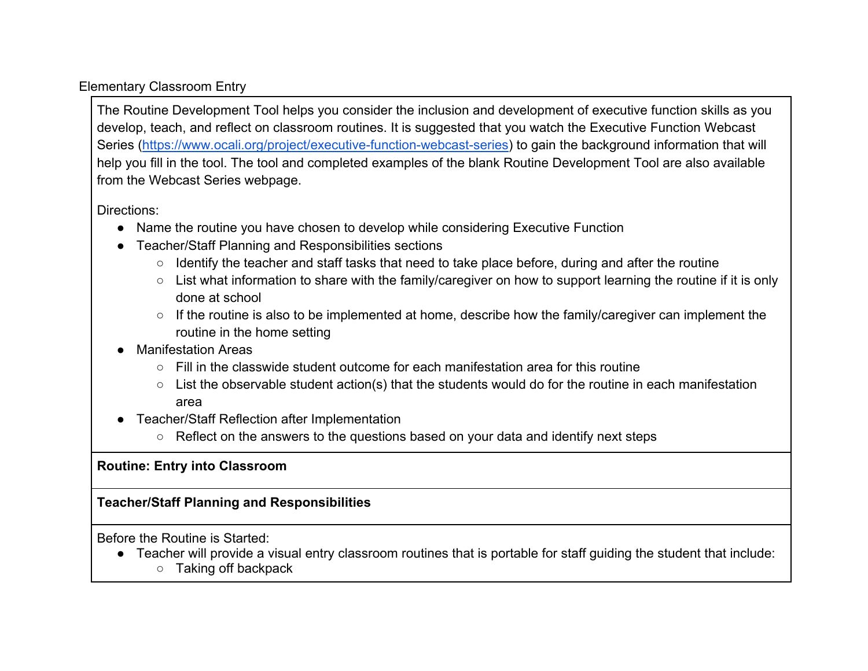## Elementary Classroom Entry

The Routine Development Tool helps you consider the inclusion and development of executive function skills as you develop, teach, and reflect on classroom routines. It is suggested that you watch the Executive Function Webcast Series [\(https://www.ocali.org/project/executive-function-webcast-series\)](https://www.ocali.org/project/executive-function-webcast-series) to gain the background information that will help you fill in the tool. The tool and completed examples of the blank Routine Development Tool are also available from the Webcast Series webpage.

## Directions:

- Name the routine you have chosen to develop while considering Executive Function
- Teacher/Staff Planning and Responsibilities sections
	- Identify the teacher and staff tasks that need to take place before, during and after the routine
	- $\circ$  List what information to share with the family/caregiver on how to support learning the routine if it is only done at school
	- If the routine is also to be implemented at home, describe how the family/caregiver can implement the routine in the home setting
- **Manifestation Areas** 
	- $\circ$  Fill in the classwide student outcome for each manifestation area for this routine
	- $\circ$  List the observable student action(s) that the students would do for the routine in each manifestation area
- Teacher/Staff Reflection after Implementation
	- Reflect on the answers to the questions based on your data and identify next steps

## **Routine: Entry into Classroom**

## **Teacher/Staff Planning and Responsibilities**

Before the Routine is Started:

- Teacher will provide a visual entry classroom routines that is portable for staff guiding the student that include:
	- Taking off backpack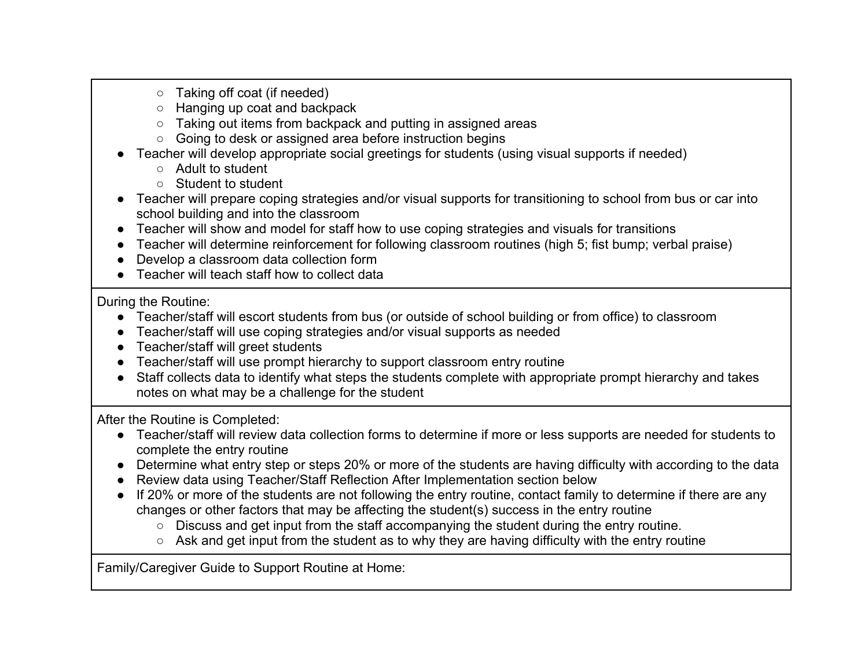- Taking off coat (if needed)
- Hanging up coat and backpack
- Taking out items from backpack and putting in assigned areas
- Going to desk or assigned area before instruction begins
- Teacher will develop appropriate social greetings for students (using visual supports if needed)
	- Adult to student
	- Student to student
- Teacher will prepare coping strategies and/or visual supports for transitioning to school from bus or car into school building and into the classroom
- Teacher will show and model for staff how to use coping strategies and visuals for transitions
- Teacher will determine reinforcement for following classroom routines (high 5; fist bump; verbal praise)
- Develop a classroom data collection form
- Teacher will teach staff how to collect data

During the Routine:

- Teacher/staff will escort students from bus (or outside of school building or from office) to classroom
- Teacher/staff will use coping strategies and/or visual supports as needed
- Teacher/staff will greet students
- Teacher/staff will use prompt hierarchy to support classroom entry routine
- Staff collects data to identify what steps the students complete with appropriate prompt hierarchy and takes notes on what may be a challenge for the student

After the Routine is Completed:

- Teacher/staff will review data collection forms to determine if more or less supports are needed for students to complete the entry routine
- Determine what entry step or steps 20% or more of the students are having difficulty with according to the data
- Review data using Teacher/Staff Reflection After Implementation section below
- If 20% or more of the students are not following the entry routine, contact family to determine if there are any changes or other factors that may be affecting the student(s) success in the entry routine
	- Discuss and get input from the staff accompanying the student during the entry routine.
	- Ask and get input from the student as to why they are having difficulty with the entry routine

Family/Caregiver Guide to Support Routine at Home: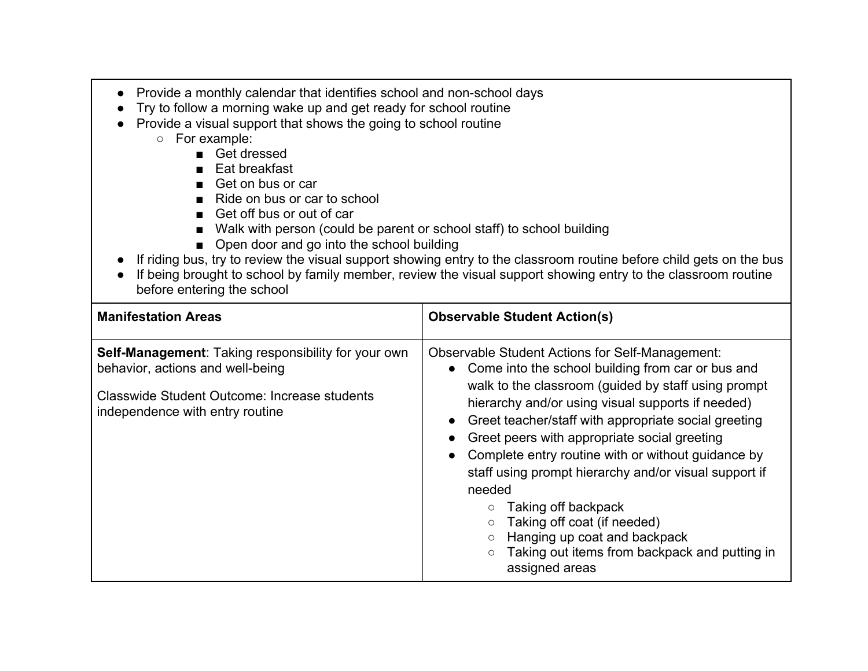- Provide a monthly calendar that identifies school and non-school days
- Try to follow a morning wake up and get ready for school routine
- Provide a visual support that shows the going to school routine
	- For example:
		- Get dressed
		- Eat breakfast
		- Get on bus or car
		- Ride on bus or car to school
		- Get off bus or out of car
		- Walk with person (could be parent or school staff) to school building
		- Open door and go into the school building
- If riding bus, try to review the visual support showing entry to the classroom routine before child gets on the bus
- If being brought to school by family member, review the visual support showing entry to the classroom routine before entering the school

| <b>Manifestation Areas</b>                                                                                                                                                        | <b>Observable Student Action(s)</b>                                                                                                                                                                                                                                                                                                                                                                                                                                                                                                                                                                                 |
|-----------------------------------------------------------------------------------------------------------------------------------------------------------------------------------|---------------------------------------------------------------------------------------------------------------------------------------------------------------------------------------------------------------------------------------------------------------------------------------------------------------------------------------------------------------------------------------------------------------------------------------------------------------------------------------------------------------------------------------------------------------------------------------------------------------------|
| <b>Self-Management: Taking responsibility for your own</b><br>behavior, actions and well-being<br>Classwide Student Outcome: Increase students<br>independence with entry routine | <b>Observable Student Actions for Self-Management:</b><br>• Come into the school building from car or bus and<br>walk to the classroom (guided by staff using prompt<br>hierarchy and/or using visual supports if needed)<br>Greet teacher/staff with appropriate social greeting<br>Greet peers with appropriate social greeting<br>Complete entry routine with or without guidance by<br>staff using prompt hierarchy and/or visual support if<br>needed<br>Taking off backpack<br>Taking off coat (if needed)<br>Hanging up coat and backpack<br>Taking out items from backpack and putting in<br>assigned areas |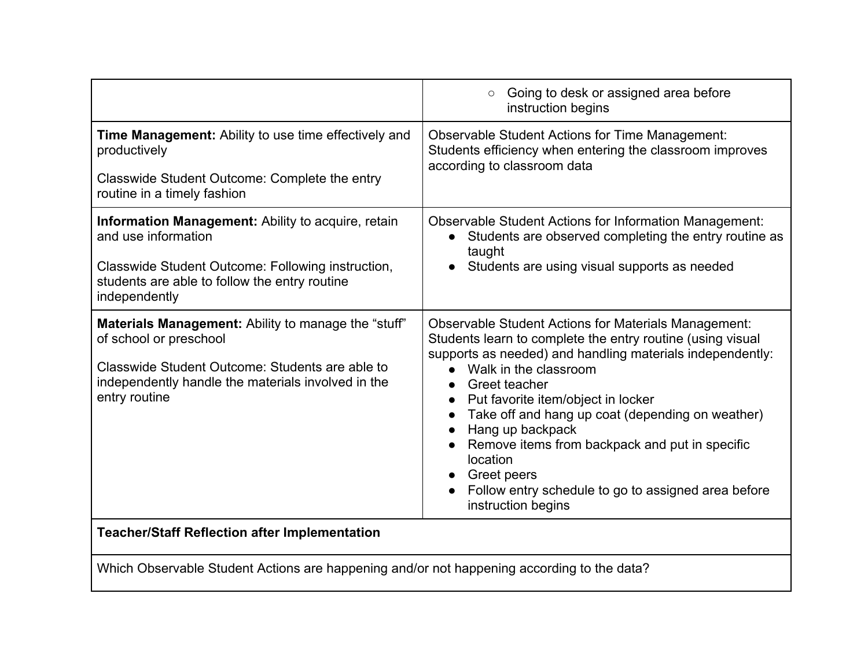|                                                                                                                                                                                                         | Going to desk or assigned area before<br>$\circ$<br>instruction begins                                                                                                                                                                                                                                                                                                                                                                                                                                          |
|---------------------------------------------------------------------------------------------------------------------------------------------------------------------------------------------------------|-----------------------------------------------------------------------------------------------------------------------------------------------------------------------------------------------------------------------------------------------------------------------------------------------------------------------------------------------------------------------------------------------------------------------------------------------------------------------------------------------------------------|
| <b>Time Management:</b> Ability to use time effectively and<br>productively<br>Classwide Student Outcome: Complete the entry<br>routine in a timely fashion                                             | <b>Observable Student Actions for Time Management:</b><br>Students efficiency when entering the classroom improves<br>according to classroom data                                                                                                                                                                                                                                                                                                                                                               |
| Information Management: Ability to acquire, retain<br>and use information<br>Classwide Student Outcome: Following instruction,<br>students are able to follow the entry routine<br>independently        | <b>Observable Student Actions for Information Management:</b><br>Students are observed completing the entry routine as<br>$\bullet$<br>taught<br>Students are using visual supports as needed                                                                                                                                                                                                                                                                                                                   |
| Materials Management: Ability to manage the "stuff"<br>of school or preschool<br>Classwide Student Outcome: Students are able to<br>independently handle the materials involved in the<br>entry routine | <b>Observable Student Actions for Materials Management:</b><br>Students learn to complete the entry routine (using visual<br>supports as needed) and handling materials independently:<br>Walk in the classroom<br>Greet teacher<br>Put favorite item/object in locker<br>Take off and hang up coat (depending on weather)<br>Hang up backpack<br>Remove items from backpack and put in specific<br>location<br><b>Greet peers</b><br>Follow entry schedule to go to assigned area before<br>instruction begins |
| <b>Teacher/Staff Reflection after Implementation</b>                                                                                                                                                    |                                                                                                                                                                                                                                                                                                                                                                                                                                                                                                                 |

Which Observable Student Actions are happening and/or not happening according to the data?